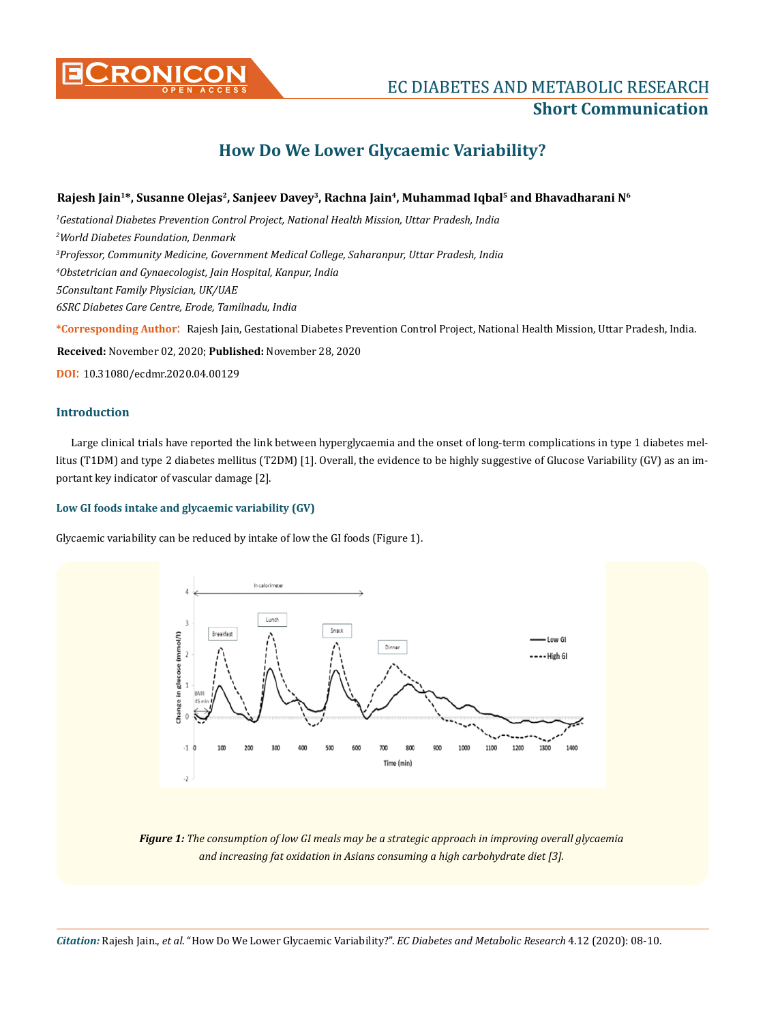

## **EC DIABETES AND METABOLIC RESEARCH Short Communication**

# **How Do We Lower Glycaemic Variability?**

## **Rajesh Jain1\*, Susanne Olejas2, Sanjeev Davey3, Rachna Jain4, Muhammad Iqbal5 and Bhavadharani N6**

 *Gestational Diabetes Prevention Control Project, National Health Mission, Uttar Pradesh, India World Diabetes Foundation, Denmark Professor, Community Medicine, Government Medical College, Saharanpur, Uttar Pradesh, India Obstetrician and Gynaecologist, Jain Hospital, Kanpur, India 5Consultant Family Physician, UK/UAE 6SRC Diabetes Care Centre, Erode, Tamilnadu, India*

**\*Corresponding Author**: Rajesh Jain, Gestational Diabetes Prevention Control Project, National Health Mission, Uttar Pradesh, India.

**Received:** November 02, 2020; **Published:** November 28, 2020

**DOI**: 10.31080/ecdmr.2020.04.00129

#### **Introduction**

Large clinical trials have reported the link between hyperglycaemia and the onset of long-term complications in type 1 diabetes mellitus (T1DM) and type 2 diabetes mellitus (T2DM) [1]. Overall, the evidence to be highly suggestive of Glucose Variability (GV) as an important key indicator of vascular damage [2].

## **Low GI foods intake and glycaemic variability (GV)**

Glycaemic variability can be reduced by intake of low the GI foods (Figure 1).



*Figure 1: The consumption of low GI meals may be a strategic approach in improving overall glycaemia and increasing fat oxidation in Asians consuming a high carbohydrate diet [3].*

*Citation:* Rajesh Jain., *et al*. "How Do We Lower Glycaemic Variability?". *EC Diabetes and Metabolic Research* 4.12 (2020): 08-10.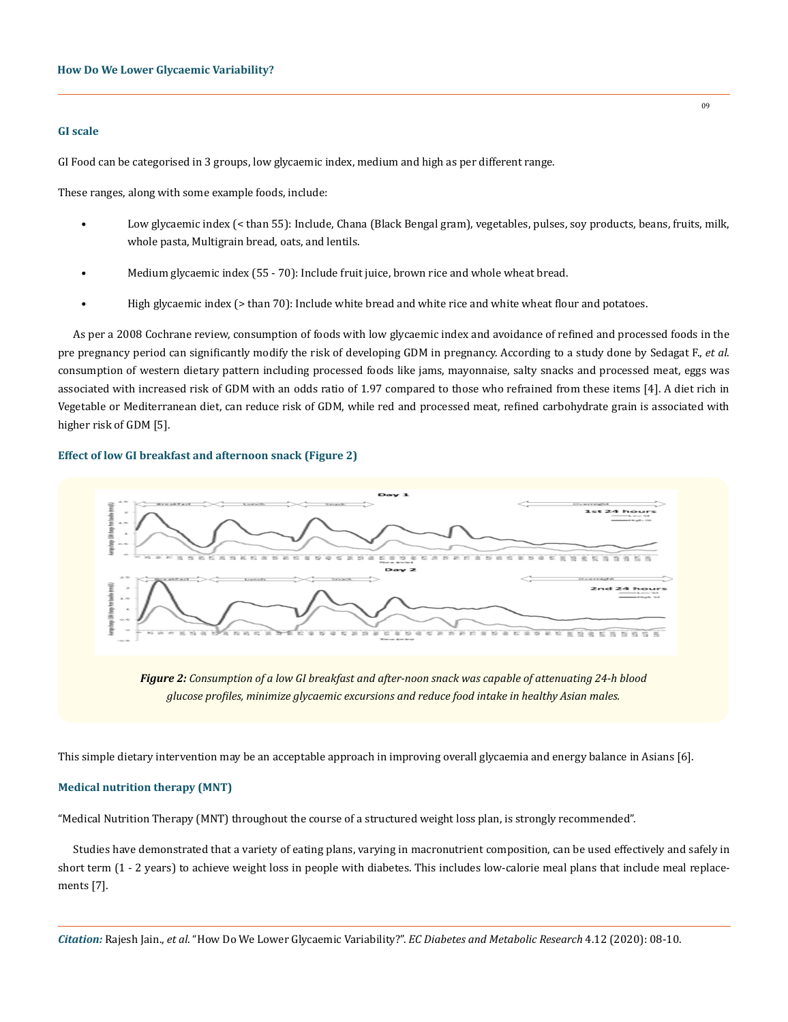#### **GI scale**

GI Food can be categorised in 3 groups, low glycaemic index, medium and high as per different range.

These ranges, along with some example foods, include:

- Low glycaemic index (< than 55): Include, Chana (Black Bengal gram), vegetables, pulses, soy products, beans, fruits, milk, whole pasta, Multigrain bread, oats, and lentils.
- Medium glycaemic index (55 70): Include fruit juice, brown rice and whole wheat bread.
- High glycaemic index (> than 70): Include white bread and white rice and white wheat flour and potatoes.

As per a 2008 Cochrane review, consumption of foods with low glycaemic index and avoidance of refined and processed foods in the pre pregnancy period can significantly modify the risk of developing GDM in pregnancy. According to a study done by Sedagat F., *et al*. consumption of western dietary pattern including processed foods like jams, mayonnaise, salty snacks and processed meat, eggs was associated with increased risk of GDM with an odds ratio of 1.97 compared to those who refrained from these items [4]. A diet rich in Vegetable or Mediterranean diet, can reduce risk of GDM, while red and processed meat, refined carbohydrate grain is associated with higher risk of GDM [5].

#### **Effect of low GI breakfast and afternoon snack (Figure 2)**



*Figure 2: Consumption of a low GI breakfast and after-noon snack was capable of attenuating 24-h blood glucose profiles, minimize glycaemic excursions and reduce food intake in healthy Asian males.*

This simple dietary intervention may be an acceptable approach in improving overall glycaemia and energy balance in Asians [6].

#### **Medical nutrition therapy (MNT)**

"Medical Nutrition Therapy (MNT) throughout the course of a structured weight loss plan, is strongly recommended".

Studies have demonstrated that a variety of eating plans, varying in macronutrient composition, can be used effectively and safely in short term (1 - 2 years) to achieve weight loss in people with diabetes. This includes low-calorie meal plans that include meal replacements [7].

*Citation:* Rajesh Jain., *et al*. "How Do We Lower Glycaemic Variability?". *EC Diabetes and Metabolic Research* 4.12 (2020): 08-10.